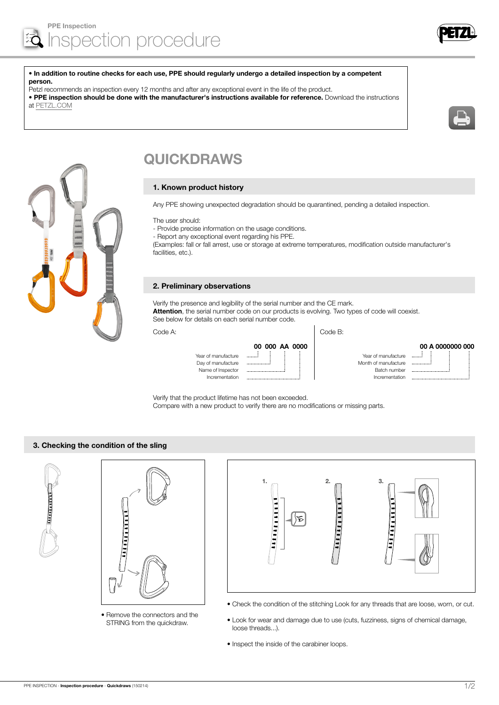

#### • In addition to routine checks for each use, PPE should regularly undergo a detailed inspection by a competent person.

Petzl recommends an inspection every 12 months and after any exceptional event in the life of the product.

• PPE inspection should be done with the manufacturer's instructions available for reference. Download the instructions at [PETZL.COM](http://www.petzl.com/fr)





# QUICKDRAWS

### 1. Known product history

Any PPE showing unexpected degradation should be quarantined, pending a detailed inspection.

The user should:

- Provide precise information on the usage conditions.
- Report any exceptional event regarding his PPE.

(Examples: fall or fall arrest, use or storage at extreme temperatures, modification outside manufacturer's facilities, etc.).

#### 2. Preliminary observations

Verify the presence and legibility of the serial number and the CE mark. Attention, the serial number code on our products is evolving. Two types of code will coexist. See below for details on each serial number code.

Code A: Code B:

|                     | 00 000 AA 0000 |                      |
|---------------------|----------------|----------------------|
| Year of manufacture |                | Year of manufacture  |
| Day of manufacture  |                | Month of manufacture |
| Name of Inspector   |                | Batch number         |
| Incrementation      |                | Incrementation       |

00 A 0000000 000

Verify that the product lifetime has not been exceeded. Compare with a new product to verify there are no modifications or missing parts.

## 3. Checking the condition of the sling





• Remove the connectors and the STRING from the quickdraw.



- Check the condition of the stitching Look for any threads that are loose, worn, or cut.
- Look for wear and damage due to use (cuts, fuzziness, signs of chemical damage, loose threads...).
- Inspect the inside of the carabiner loops.